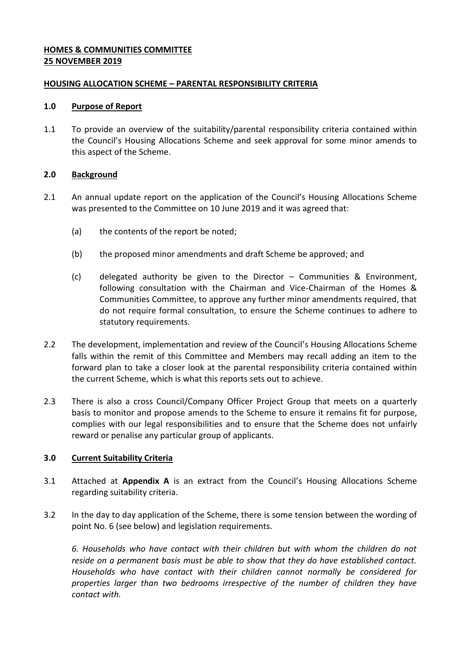## **HOMES & COMMUNITIES COMMITTEE 25 NOVEMBER 2019**

### **HOUSING ALLOCATION SCHEME – PARENTAL RESPONSIBILITY CRITERIA**

#### **1.0 Purpose of Report**

1.1 To provide an overview of the suitability/parental responsibility criteria contained within the Council's Housing Allocations Scheme and seek approval for some minor amends to this aspect of the Scheme.

# **2.0 Background**

- 2.1 An annual update report on the application of the Council's Housing Allocations Scheme was presented to the Committee on 10 June 2019 and it was agreed that:
	- (a) the contents of the report be noted;
	- (b) the proposed minor amendments and draft Scheme be approved; and
	- (c) delegated authority be given to the Director Communities & Environment, following consultation with the Chairman and Vice-Chairman of the Homes & Communities Committee, to approve any further minor amendments required, that do not require formal consultation, to ensure the Scheme continues to adhere to statutory requirements.
- 2.2 The development, implementation and review of the Council's Housing Allocations Scheme falls within the remit of this Committee and Members may recall adding an item to the forward plan to take a closer look at the parental responsibility criteria contained within the current Scheme, which is what this reports sets out to achieve.
- 2.3 There is also a cross Council/Company Officer Project Group that meets on a quarterly basis to monitor and propose amends to the Scheme to ensure it remains fit for purpose, complies with our legal responsibilities and to ensure that the Scheme does not unfairly reward or penalise any particular group of applicants.

# **3.0 Current Suitability Criteria**

- 3.1 Attached at **Appendix A** is an extract from the Council's Housing Allocations Scheme regarding suitability criteria.
- 3.2 In the day to day application of the Scheme, there is some tension between the wording of point No. 6 (see below) and legislation requirements.

*6. Households who have contact with their children but with whom the children do not reside on a permanent basis must be able to show that they do have established contact. Households who have contact with their children cannot normally be considered for properties larger than two bedrooms irrespective of the number of children they have contact with.*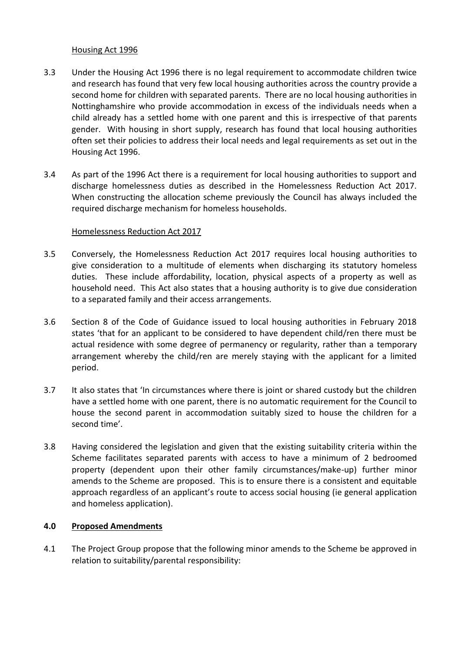#### Housing Act 1996

- 3.3 Under the Housing Act 1996 there is no legal requirement to accommodate children twice and research has found that very few local housing authorities across the country provide a second home for children with separated parents. There are no local housing authorities in Nottinghamshire who provide accommodation in excess of the individuals needs when a child already has a settled home with one parent and this is irrespective of that parents gender. With housing in short supply, research has found that local housing authorities often set their policies to address their local needs and legal requirements as set out in the Housing Act 1996.
- 3.4 As part of the 1996 Act there is a requirement for local housing authorities to support and discharge homelessness duties as described in the Homelessness Reduction Act 2017. When constructing the allocation scheme previously the Council has always included the required discharge mechanism for homeless households.

#### Homelessness Reduction Act 2017

- 3.5 Conversely, the Homelessness Reduction Act 2017 requires local housing authorities to give consideration to a multitude of elements when discharging its statutory homeless duties. These include affordability, location, physical aspects of a property as well as household need. This Act also states that a housing authority is to give due consideration to a separated family and their access arrangements.
- 3.6 Section 8 of the Code of Guidance issued to local housing authorities in February 2018 states 'that for an applicant to be considered to have dependent child/ren there must be actual residence with some degree of permanency or regularity, rather than a temporary arrangement whereby the child/ren are merely staying with the applicant for a limited period.
- 3.7 It also states that 'In circumstances where there is joint or shared custody but the children have a settled home with one parent, there is no automatic requirement for the Council to house the second parent in accommodation suitably sized to house the children for a second time'.
- 3.8 Having considered the legislation and given that the existing suitability criteria within the Scheme facilitates separated parents with access to have a minimum of 2 bedroomed property (dependent upon their other family circumstances/make-up) further minor amends to the Scheme are proposed. This is to ensure there is a consistent and equitable approach regardless of an applicant's route to access social housing (ie general application and homeless application).

#### **4.0 Proposed Amendments**

4.1 The Project Group propose that the following minor amends to the Scheme be approved in relation to suitability/parental responsibility: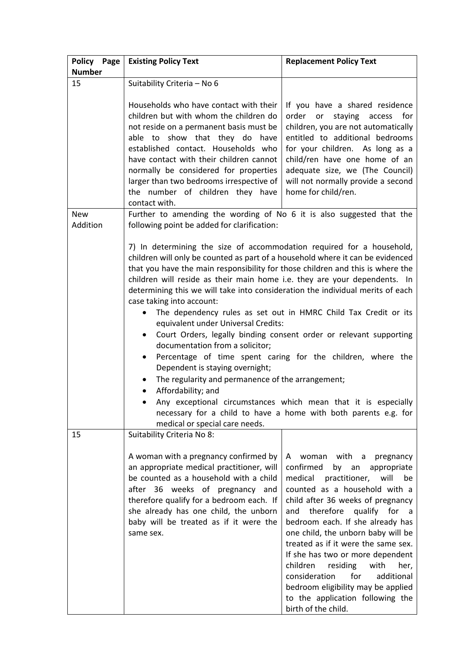| Policy Page   | <b>Existing Policy Text</b>                                                                                                                                                                                                                                                                                                                                                                                                                                                                                                                                                                                                                                                                                                                                                                                                                                                                                                                                                                                                                                      | <b>Replacement Policy Text</b>                                                                                                                                                                                                                                                                                                                                                                                                                                                                         |
|---------------|------------------------------------------------------------------------------------------------------------------------------------------------------------------------------------------------------------------------------------------------------------------------------------------------------------------------------------------------------------------------------------------------------------------------------------------------------------------------------------------------------------------------------------------------------------------------------------------------------------------------------------------------------------------------------------------------------------------------------------------------------------------------------------------------------------------------------------------------------------------------------------------------------------------------------------------------------------------------------------------------------------------------------------------------------------------|--------------------------------------------------------------------------------------------------------------------------------------------------------------------------------------------------------------------------------------------------------------------------------------------------------------------------------------------------------------------------------------------------------------------------------------------------------------------------------------------------------|
| <b>Number</b> |                                                                                                                                                                                                                                                                                                                                                                                                                                                                                                                                                                                                                                                                                                                                                                                                                                                                                                                                                                                                                                                                  |                                                                                                                                                                                                                                                                                                                                                                                                                                                                                                        |
| 15            | Suitability Criteria - No 6                                                                                                                                                                                                                                                                                                                                                                                                                                                                                                                                                                                                                                                                                                                                                                                                                                                                                                                                                                                                                                      |                                                                                                                                                                                                                                                                                                                                                                                                                                                                                                        |
|               | Households who have contact with their<br>children but with whom the children do<br>not reside on a permanent basis must be<br>able to show that they do have<br>established contact. Households who<br>have contact with their children cannot<br>normally be considered for properties<br>larger than two bedrooms irrespective of<br>the number of children they have<br>contact with.                                                                                                                                                                                                                                                                                                                                                                                                                                                                                                                                                                                                                                                                        | If you have a shared residence<br>order<br>staying access<br>for<br>or<br>children, you are not automatically<br>entitled to additional bedrooms<br>for your children. As long as a<br>child/ren have one home of an<br>adequate size, we (The Council)<br>will not normally provide a second<br>home for child/ren.                                                                                                                                                                                   |
| <b>New</b>    | Further to amending the wording of No 6 it is also suggested that the                                                                                                                                                                                                                                                                                                                                                                                                                                                                                                                                                                                                                                                                                                                                                                                                                                                                                                                                                                                            |                                                                                                                                                                                                                                                                                                                                                                                                                                                                                                        |
| Addition      | following point be added for clarification:                                                                                                                                                                                                                                                                                                                                                                                                                                                                                                                                                                                                                                                                                                                                                                                                                                                                                                                                                                                                                      |                                                                                                                                                                                                                                                                                                                                                                                                                                                                                                        |
|               | 7) In determining the size of accommodation required for a household,<br>children will only be counted as part of a household where it can be evidenced<br>that you have the main responsibility for those children and this is where the<br>children will reside as their main home i.e. they are your dependents. In<br>determining this we will take into consideration the individual merits of each<br>case taking into account:<br>The dependency rules as set out in HMRC Child Tax Credit or its<br>$\bullet$<br>equivalent under Universal Credits:<br>Court Orders, legally binding consent order or relevant supporting<br>$\bullet$<br>documentation from a solicitor;<br>Percentage of time spent caring for the children, where the<br>$\bullet$<br>Dependent is staying overnight;<br>The regularity and permanence of the arrangement;<br>Affordability; and<br>$\bullet$<br>Any exceptional circumstances which mean that it is especially<br>necessary for a child to have a home with both parents e.g. for<br>medical or special care needs. |                                                                                                                                                                                                                                                                                                                                                                                                                                                                                                        |
| 15            | Suitability Criteria No 8:<br>A woman with a pregnancy confirmed by<br>an appropriate medical practitioner, will<br>be counted as a household with a child<br>after 36 weeks of pregnancy and<br>therefore qualify for a bedroom each. If<br>she already has one child, the unborn<br>baby will be treated as if it were the<br>same sex.                                                                                                                                                                                                                                                                                                                                                                                                                                                                                                                                                                                                                                                                                                                        | woman with a<br>pregnancy<br>A<br>confirmed<br>by an<br>appropriate<br>medical<br>practitioner,<br>will<br>be<br>counted as a household with a<br>child after 36 weeks of pregnancy<br>therefore<br>qualify for<br>and<br>a a<br>bedroom each. If she already has<br>one child, the unborn baby will be<br>treated as if it were the same sex.<br>If she has two or more dependent<br>children<br>with<br>residing<br>her,<br>consideration<br>for<br>additional<br>bedroom eligibility may be applied |
|               |                                                                                                                                                                                                                                                                                                                                                                                                                                                                                                                                                                                                                                                                                                                                                                                                                                                                                                                                                                                                                                                                  | to the application following the<br>birth of the child.                                                                                                                                                                                                                                                                                                                                                                                                                                                |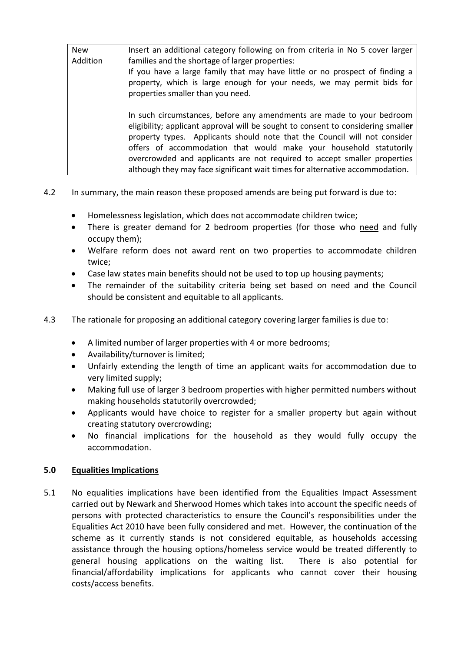| <b>New</b> | Insert an additional category following on from criteria in No 5 cover larger                                                                                                                                                                                                                                                                                                            |  |
|------------|------------------------------------------------------------------------------------------------------------------------------------------------------------------------------------------------------------------------------------------------------------------------------------------------------------------------------------------------------------------------------------------|--|
| Addition   | families and the shortage of larger properties:                                                                                                                                                                                                                                                                                                                                          |  |
|            | If you have a large family that may have little or no prospect of finding a                                                                                                                                                                                                                                                                                                              |  |
|            | property, which is large enough for your needs, we may permit bids for<br>properties smaller than you need.                                                                                                                                                                                                                                                                              |  |
|            |                                                                                                                                                                                                                                                                                                                                                                                          |  |
|            |                                                                                                                                                                                                                                                                                                                                                                                          |  |
|            | In such circumstances, before any amendments are made to your bedroom<br>eligibility; applicant approval will be sought to consent to considering smaller<br>property types. Applicants should note that the Council will not consider<br>offers of accommodation that would make your household statutorily<br>overcrowded and applicants are not required to accept smaller properties |  |
|            | although they may face significant wait times for alternative accommodation.                                                                                                                                                                                                                                                                                                             |  |

- 4.2 In summary, the main reason these proposed amends are being put forward is due to:
	- Homelessness legislation, which does not accommodate children twice;
	- There is greater demand for 2 bedroom properties (for those who need and fully occupy them);
	- Welfare reform does not award rent on two properties to accommodate children twice;
	- Case law states main benefits should not be used to top up housing payments;
	- The remainder of the suitability criteria being set based on need and the Council should be consistent and equitable to all applicants.
- 4.3 The rationale for proposing an additional category covering larger families is due to:
	- A limited number of larger properties with 4 or more bedrooms;
	- Availability/turnover is limited;
	- Unfairly extending the length of time an applicant waits for accommodation due to very limited supply;
	- Making full use of larger 3 bedroom properties with higher permitted numbers without making households statutorily overcrowded;
	- Applicants would have choice to register for a smaller property but again without creating statutory overcrowding;
	- No financial implications for the household as they would fully occupy the accommodation.

# **5.0 Equalities Implications**

5.1 No equalities implications have been identified from the Equalities Impact Assessment carried out by Newark and Sherwood Homes which takes into account the specific needs of persons with protected characteristics to ensure the Council's responsibilities under the Equalities Act 2010 have been fully considered and met. However, the continuation of the scheme as it currently stands is not considered equitable, as households accessing assistance through the housing options/homeless service would be treated differently to general housing applications on the waiting list. There is also potential for financial/affordability implications for applicants who cannot cover their housing costs/access benefits.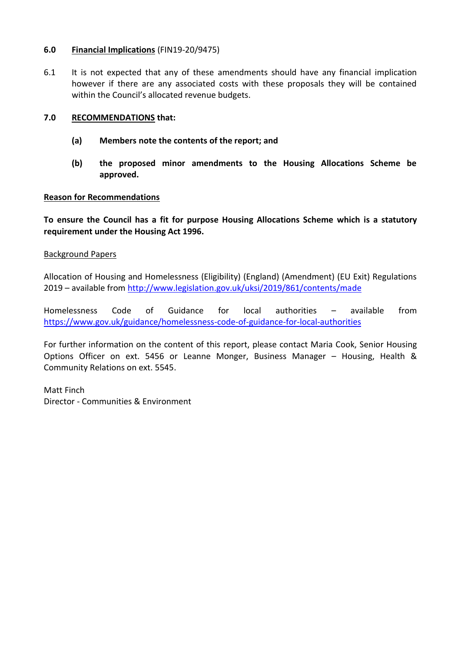### **6.0 Financial Implications** (FIN19-20/9475)

6.1 It is not expected that any of these amendments should have any financial implication however if there are any associated costs with these proposals they will be contained within the Council's allocated revenue budgets.

## **7.0 RECOMMENDATIONS that:**

- **(a) Members note the contents of the report; and**
- **(b) the proposed minor amendments to the Housing Allocations Scheme be approved.**

#### **Reason for Recommendations**

**To ensure the Council has a fit for purpose Housing Allocations Scheme which is a statutory requirement under the Housing Act 1996.**

#### Background Papers

Allocation of Housing and Homelessness (Eligibility) (England) (Amendment) (EU Exit) Regulations 2019 – available from<http://www.legislation.gov.uk/uksi/2019/861/contents/made>

Homelessness Code of Guidance for local authorities – available from <https://www.gov.uk/guidance/homelessness-code-of-guidance-for-local-authorities>

For further information on the content of this report, please contact Maria Cook, Senior Housing Options Officer on ext. 5456 or Leanne Monger, Business Manager – Housing, Health & Community Relations on ext. 5545.

Matt Finch Director - Communities & Environment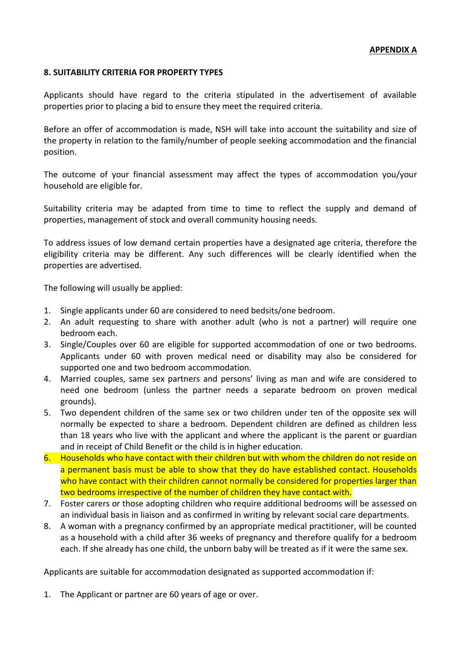### **8. SUITABILITY CRITERIA FOR PROPERTY TYPES**

Applicants should have regard to the criteria stipulated in the advertisement of available properties prior to placing a bid to ensure they meet the required criteria.

Before an offer of accommodation is made, NSH will take into account the suitability and size of the property in relation to the family/number of people seeking accommodation and the financial position.

The outcome of your financial assessment may affect the types of accommodation you/your household are eligible for.

Suitability criteria may be adapted from time to time to reflect the supply and demand of properties, management of stock and overall community housing needs.

To address issues of low demand certain properties have a designated age criteria, therefore the eligibility criteria may be different. Any such differences will be clearly identified when the properties are advertised.

The following will usually be applied:

- 1. Single applicants under 60 are considered to need bedsits/one bedroom.
- 2. An adult requesting to share with another adult (who is not a partner) will require one bedroom each.
- 3. Single/Couples over 60 are eligible for supported accommodation of one or two bedrooms. Applicants under 60 with proven medical need or disability may also be considered for supported one and two bedroom accommodation.
- 4. Married couples, same sex partners and persons' living as man and wife are considered to need one bedroom (unless the partner needs a separate bedroom on proven medical grounds).
- 5. Two dependent children of the same sex or two children under ten of the opposite sex will normally be expected to share a bedroom. Dependent children are defined as children less than 18 years who live with the applicant and where the applicant is the parent or guardian and in receipt of Child Benefit or the child is in higher education.
- 6. Households who have contact with their children but with whom the children do not reside on a permanent basis must be able to show that they do have established contact. Households who have contact with their children cannot normally be considered for properties larger than two bedrooms irrespective of the number of children they have contact with.
- 7. Foster carers or those adopting children who require additional bedrooms will be assessed on an individual basis in liaison and as confirmed in writing by relevant social care departments.
- 8. A woman with a pregnancy confirmed by an appropriate medical practitioner, will be counted as a household with a child after 36 weeks of pregnancy and therefore qualify for a bedroom each. If she already has one child, the unborn baby will be treated as if it were the same sex.

Applicants are suitable for accommodation designated as supported accommodation if:

1. The Applicant or partner are 60 years of age or over.